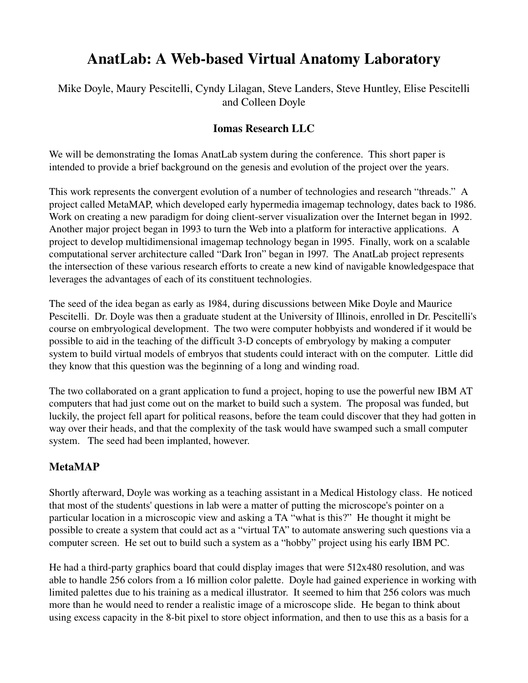# AnatLab: A Web-based Virtual Anatomy Laboratory

Mike Doyle, Maury Pescitelli, Cyndy Lilagan, Steve Landers, Steve Huntley, Elise Pescitelli and Colleen Doyle

### Iomas Research LLC

We will be demonstrating the Iomas AnatLab system during the conference. This short paper is intended to provide a brief background on the genesis and evolution of the project over the years.

This work represents the convergent evolution of a number of technologies and research "threads." A project called MetaMAP, which developed early hypermedia imagemap technology, dates back to 1986. Work on creating a new paradigm for doing client-server visualization over the Internet began in 1992. Another major project began in 1993 to turn the Web into a platform for interactive applications. A project to develop multidimensional imagemap technology began in 1995. Finally, work on a scalable computational server architecture called "Dark Iron" began in 1997. The AnatLab project represents the intersection of these various research efforts to create a new kind of navigable knowledgespace that leverages the advantages of each of its constituent technologies.

The seed of the idea began as early as 1984, during discussions between Mike Doyle and Maurice Pescitelli. Dr. Doyle was then a graduate student at the University of Illinois, enrolled in Dr. Pescitelli's course on embryological development. The two were computer hobbyists and wondered if it would be possible to aid in the teaching of the difficult 3-D concepts of embryology by making a computer system to build virtual models of embryos that students could interact with on the computer. Little did they know that this question was the beginning of a long and winding road.

The two collaborated on a grant application to fund a project, hoping to use the powerful new IBM AT computers that had just come out on the market to build such a system. The proposal was funded, but luckily, the project fell apart for political reasons, before the team could discover that they had gotten in way over their heads, and that the complexity of the task would have swamped such a small computer system. The seed had been implanted, however.

## MetaMAP

Shortly afterward, Doyle was working as a teaching assistant in a Medical Histology class. He noticed that most of the students' questions in lab were a matter of putting the microscope's pointer on a particular location in a microscopic view and asking a TA "what is this?" He thought it might be possible to create a system that could act as a "virtual TA" to automate answering such questions via a computer screen. He set out to build such a system as a "hobby" project using his early IBM PC.

He had a third-party graphics board that could display images that were 512x480 resolution, and was able to handle 256 colors from a 16 million color palette. Doyle had gained experience in working with limited palettes due to his training as a medical illustrator. It seemed to him that 256 colors was much more than he would need to render a realistic image of a microscope slide. He began to think about using excess capacity in the 8-bit pixel to store object information, and then to use this as a basis for a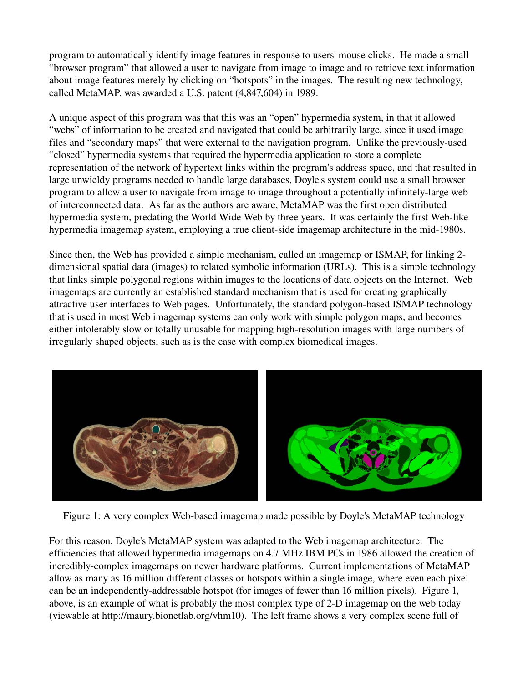program to automatically identify image features in response to users' mouse clicks. He made a small "browser program" that allowed a user to navigate from image to image and to retrieve text information about image features merely by clicking on "hotspots" in the images. The resulting new technology, called MetaMAP, was awarded a U.S. patent (4,847,604) in 1989.

A unique aspect of this program was that this was an "open" hypermedia system, in that it allowed "webs" of information to be created and navigated that could be arbitrarily large, since it used image files and "secondary maps" that were external to the navigation program. Unlike the previously-used "closed" hypermedia systems that required the hypermedia application to store a complete representation of the network of hypertext links within the program's address space, and that resulted in large unwieldy programs needed to handle large databases, Doyle's system could use a small browser program to allow a user to navigate from image to image throughout a potentially infinitely-large web of interconnected data. As far as the authors are aware, MetaMAP was the first open distributed hypermedia system, predating the World Wide Web by three years. It was certainly the first Web-like hypermedia imagemap system, employing a true client-side imagemap architecture in the mid-1980s.

Since then, the Web has provided a simple mechanism, called an imagemap or ISMAP, for linking 2 dimensional spatial data (images) to related symbolic information (URLs). This is a simple technology that links simple polygonal regions within images to the locations of data objects on the Internet. Web imagemaps are currently an established standard mechanism that is used for creating graphically attractive user interfaces to Web pages. Unfortunately, the standard polygon-based ISMAP technology that is used in most Web imagemap systems can only work with simple polygon maps, and becomes either intolerably slow or totally unusable for mapping high-resolution images with large numbers of irregularly shaped objects, such as is the case with complex biomedical images.



Figure 1: A very complex Web-based imagemap made possible by Doyle's MetaMAP technology

For this reason, Doyle's MetaMAP system was adapted to the Web imagemap architecture. The efficiencies that allowed hypermedia imagemaps on 4.7 MHz IBM PCs in 1986 allowed the creation of incredibly-complex imagemaps on newer hardware platforms. Current implementations of MetaMAP allow as many as 16 million different classes or hotspots within a single image, where even each pixel can be an independently-addressable hotspot (for images of fewer than 16 million pixels). Figure 1, above, is an example of what is probably the most complex type of 2-D imagemap on the web today (viewable at http://maury.bionetlab.org/vhm10). The left frame shows a very complex scene full of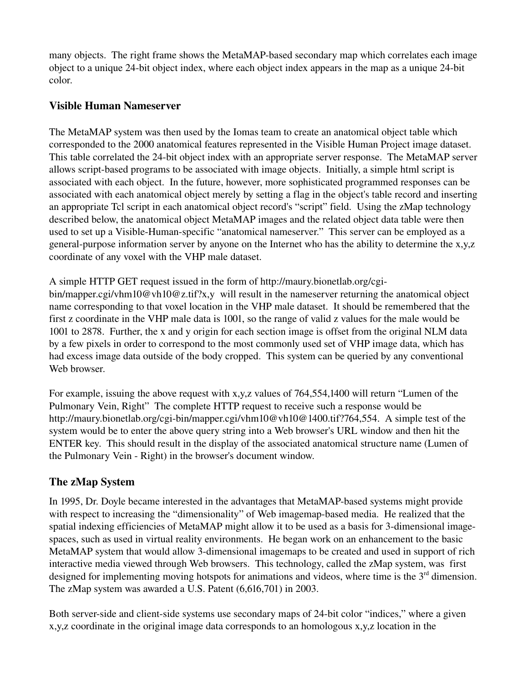many objects. The right frame shows the MetaMAP-based secondary map which correlates each image object to a unique 24-bit object index, where each object index appears in the map as a unique 24-bit color.

#### Visible Human Nameserver

The MetaMAP system was then used by the Iomas team to create an anatomical object table which corresponded to the 2000 anatomical features represented in the Visible Human Project image dataset. This table correlated the 24-bit object index with an appropriate server response. The MetaMAP server allows script-based programs to be associated with image objects. Initially, a simple html script is associated with each object. In the future, however, more sophisticated programmed responses can be associated with each anatomical object merely by setting a flag in the object's table record and inserting an appropriate Tcl script in each anatomical object record's "script" field. Using the zMap technology described below, the anatomical object MetaMAP images and the related object data table were then used to set up a Visible-Human-specific "anatomical nameserver." This server can be employed as a general-purpose information server by anyone on the Internet who has the ability to determine the x,y,z coordinate of any voxel with the VHP male dataset.

A simple HTTP GET request issued in the form of http://maury.bionetlab.org/cgi-

bin/mapper.cgi/vhm10@vh10@z.tif?x,y will result in the nameserver returning the anatomical object name corresponding to that voxel location in the VHP male dataset. It should be remembered that the first z coordinate in the VHP male data is 1001, so the range of valid z values for the male would be 1001 to 2878. Further, the x and y origin for each section image is offset from the original NLM data by a few pixels in order to correspond to the most commonly used set of VHP image data, which has had excess image data outside of the body cropped. This system can be queried by any conventional Web browser.

For example, issuing the above request with x,y,z values of 764,554,1400 will return "Lumen of the Pulmonary Vein, Right" The complete HTTP request to receive such a response would be http://maury.bionetlab.org/cgi-bin/mapper.cgi/vhm10@vh10@1400.tif?764,554. A simple test of the system would be to enter the above query string into a Web browser's URL window and then hit the ENTER key. This should result in the display of the associated anatomical structure name (Lumen of the Pulmonary Vein - Right) in the browser's document window.

## The zMap System

In 1995, Dr. Doyle became interested in the advantages that MetaMAP-based systems might provide with respect to increasing the "dimensionality" of Web imagemap-based media. He realized that the spatial indexing efficiencies of MetaMAP might allow it to be used as a basis for 3-dimensional imagespaces, such as used in virtual reality environments. He began work on an enhancement to the basic MetaMAP system that would allow 3-dimensional imagemaps to be created and used in support of rich interactive media viewed through Web browsers. This technology, called the zMap system, was first designed for implementing moving hotspots for animations and videos, where time is the  $3<sup>rd</sup>$  dimension. The zMap system was awarded a U.S. Patent (6,616,701) in 2003.

Both server-side and client-side systems use secondary maps of 24-bit color "indices," where a given x,y,z coordinate in the original image data corresponds to an homologous x,y,z location in the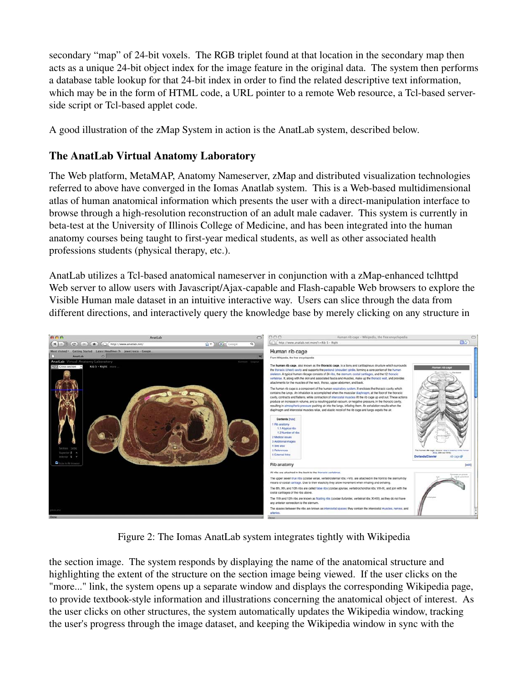secondary "map" of 24-bit voxels. The RGB triplet found at that location in the secondary map then acts as a unique 24-bit object index for the image feature in the original data. The system then performs a database table lookup for that 24-bit index in order to find the related descriptive text information, which may be in the form of HTML code, a URL pointer to a remote Web resource, a Tcl-based serverside script or Tcl-based applet code.

A good illustration of the zMap System in action is the AnatLab system, described below.

## The AnatLab Virtual Anatomy Laboratory

The Web platform, MetaMAP, Anatomy Nameserver, zMap and distributed visualization technologies referred to above have converged in the Iomas Anatlab system. This is a Web-based multidimensional atlas of human anatomical information which presents the user with a direct-manipulation interface to browse through a high-resolution reconstruction of an adult male cadaver. This system is currently in beta-test at the University of Illinois College of Medicine, and has been integrated into the human anatomy courses being taught to first-year medical students, as well as other associated health professions students (physical therapy, etc.).

AnatLab utilizes a Tcl-based anatomical nameserver in conjunction with a zMap-enhanced tclhttpd Web server to allow users with Javascript/Ajax-capable and Flash-capable Web browsers to explore the Visible Human male dataset in an intuitive interactive way. Users can slice through the data from different directions, and interactively query the knowledge base by merely clicking on any structure in



Figure 2: The Iomas AnatLab system integrates tightly with Wikipedia

the section image. The system responds by displaying the name of the anatomical structure and highlighting the extent of the structure on the section image being viewed. If the user clicks on the "more..." link, the system opens up a separate window and displays the corresponding Wikipedia page, to provide textbook-style information and illustrations concerning the anatomical object of interest. As the user clicks on other structures, the system automatically updates the Wikipedia window, tracking the user's progress through the image dataset, and keeping the Wikipedia window in sync with the